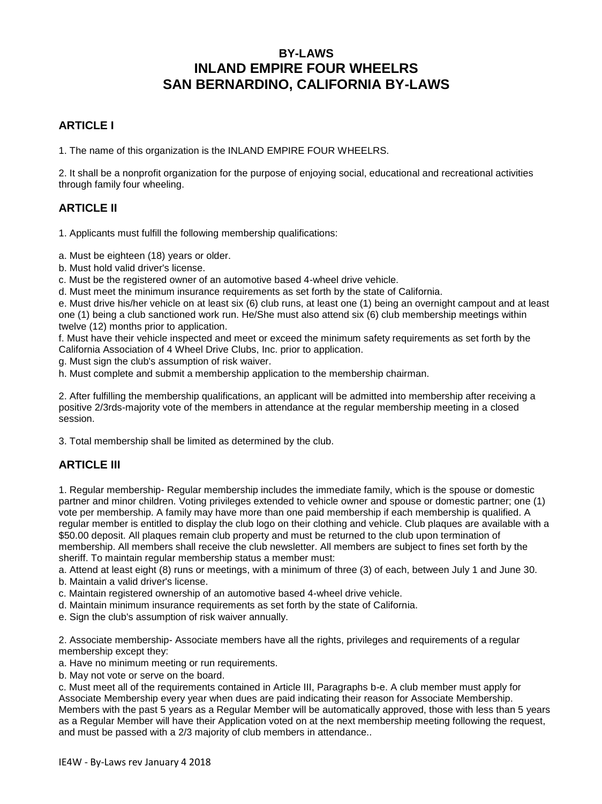# **BY-LAWS INLAND EMPIRE FOUR WHEELRS SAN BERNARDINO, CALIFORNIA BY-LAWS**

### **ARTICLE I**

1. The name of this organization is the INLAND EMPIRE FOUR WHEELRS.

2. It shall be a nonprofit organization for the purpose of enjoying social, educational and recreational activities through family four wheeling.

### **ARTICLE II**

1. Applicants must fulfill the following membership qualifications:

a. Must be eighteen (18) years or older.

b. Must hold valid driver's license.

c. Must be the registered owner of an automotive based 4-wheel drive vehicle.

d. Must meet the minimum insurance requirements as set forth by the state of California.

e. Must drive his/her vehicle on at least six (6) club runs, at least one (1) being an overnight campout and at least one (1) being a club sanctioned work run. He/She must also attend six (6) club membership meetings within twelve (12) months prior to application.

f. Must have their vehicle inspected and meet or exceed the minimum safety requirements as set forth by the California Association of 4 Wheel Drive Clubs, Inc. prior to application.

g. Must sign the club's assumption of risk waiver.

h. Must complete and submit a membership application to the membership chairman.

2. After fulfilling the membership qualifications, an applicant will be admitted into membership after receiving a positive 2/3rds-majority vote of the members in attendance at the regular membership meeting in a closed session.

3. Total membership shall be limited as determined by the club.

## **ARTICLE III**

1. Regular membership- Regular membership includes the immediate family, which is the spouse or domestic partner and minor children. Voting privileges extended to vehicle owner and spouse or domestic partner; one (1) vote per membership. A family may have more than one paid membership if each membership is qualified. A regular member is entitled to display the club logo on their clothing and vehicle. Club plaques are available with a \$50.00 deposit. All plaques remain club property and must be returned to the club upon termination of membership. All members shall receive the club newsletter. All members are subject to fines set forth by the sheriff. To maintain regular membership status a member must:

a. Attend at least eight (8) runs or meetings, with a minimum of three (3) of each, between July 1 and June 30.

- b. Maintain a valid driver's license.
- c. Maintain registered ownership of an automotive based 4-wheel drive vehicle.
- d. Maintain minimum insurance requirements as set forth by the state of California.
- e. Sign the club's assumption of risk waiver annually.

2. Associate membership- Associate members have all the rights, privileges and requirements of a regular membership except they:

- a. Have no minimum meeting or run requirements.
- b. May not vote or serve on the board.

c. Must meet all of the requirements contained in Article III, Paragraphs b-e. A club member must apply for Associate Membership every year when dues are paid indicating their reason for Associate Membership. Members with the past 5 years as a Regular Member will be automatically approved, those with less than 5 years as a Regular Member will have their Application voted on at the next membership meeting following the request, and must be passed with a 2/3 majority of club members in attendance..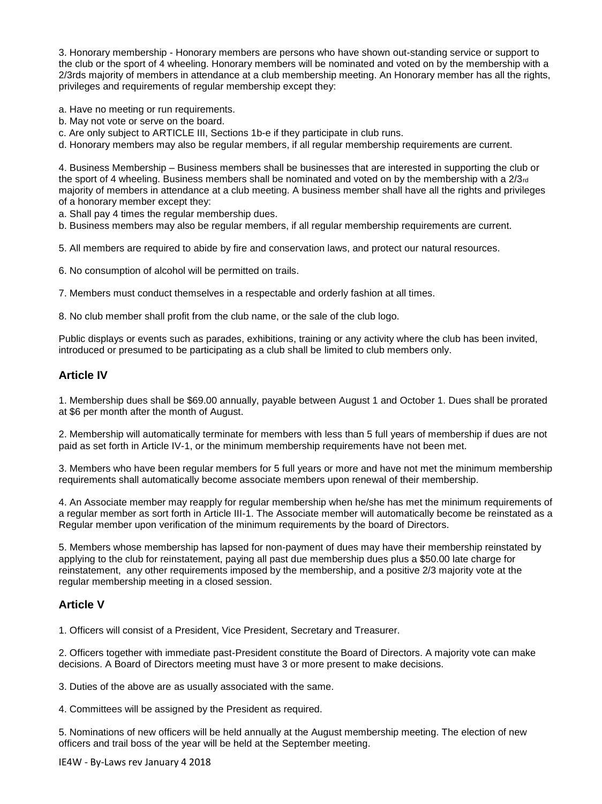3. Honorary membership - Honorary members are persons who have shown out-standing service or support to the club or the sport of 4 wheeling. Honorary members will be nominated and voted on by the membership with a 2/3rds majority of members in attendance at a club membership meeting. An Honorary member has all the rights, privileges and requirements of regular membership except they:

a. Have no meeting or run requirements.

b. May not vote or serve on the board.

c. Are only subject to ARTICLE III, Sections 1b-e if they participate in club runs.

d. Honorary members may also be regular members, if all regular membership requirements are current.

4. Business Membership – Business members shall be businesses that are interested in supporting the club or the sport of 4 wheeling. Business members shall be nominated and voted on by the membership with a 2/3rd majority of members in attendance at a club meeting. A business member shall have all the rights and privileges of a honorary member except they:

a. Shall pay 4 times the regular membership dues.

b. Business members may also be regular members, if all regular membership requirements are current.

5. All members are required to abide by fire and conservation laws, and protect our natural resources.

6. No consumption of alcohol will be permitted on trails.

7. Members must conduct themselves in a respectable and orderly fashion at all times.

8. No club member shall profit from the club name, or the sale of the club logo.

Public displays or events such as parades, exhibitions, training or any activity where the club has been invited, introduced or presumed to be participating as a club shall be limited to club members only.

#### **Article IV**

1. Membership dues shall be \$69.00 annually, payable between August 1 and October 1. Dues shall be prorated at \$6 per month after the month of August.

2. Membership will automatically terminate for members with less than 5 full years of membership if dues are not paid as set forth in Article IV-1, or the minimum membership requirements have not been met.

3. Members who have been regular members for 5 full years or more and have not met the minimum membership requirements shall automatically become associate members upon renewal of their membership.

4. An Associate member may reapply for regular membership when he/she has met the minimum requirements of a regular member as sort forth in Article III-1. The Associate member will automatically become be reinstated as a Regular member upon verification of the minimum requirements by the board of Directors.

5. Members whose membership has lapsed for non-payment of dues may have their membership reinstated by applying to the club for reinstatement, paying all past due membership dues plus a \$50.00 late charge for reinstatement, any other requirements imposed by the membership, and a positive 2/3 majority vote at the regular membership meeting in a closed session.

#### **Article V**

1. Officers will consist of a President, Vice President, Secretary and Treasurer.

2. Officers together with immediate past-President constitute the Board of Directors. A majority vote can make decisions. A Board of Directors meeting must have 3 or more present to make decisions.

3. Duties of the above are as usually associated with the same.

4. Committees will be assigned by the President as required.

5. Nominations of new officers will be held annually at the August membership meeting. The election of new officers and trail boss of the year will be held at the September meeting.